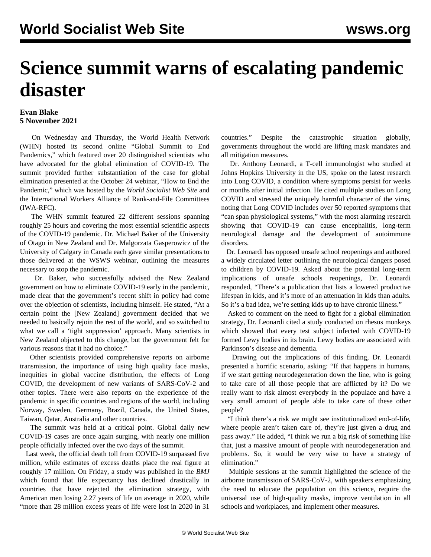## **Science summit warns of escalating pandemic disaster**

## **Evan Blake 5 November 2021**

 On Wednesday and Thursday, the World Health Network (WHN) hosted its second online "Global Summit to End Pandemics," which featured over 20 distinguished scientists who have advocated for the global elimination of COVID-19. The summit provided further substantiation of the case for global elimination presented at the October 24 webinar, ["How to End the](/en/special/pages/how-to-end-the-pandemic.html) [Pandemic,](/en/special/pages/how-to-end-the-pandemic.html)" which was hosted by the *World Socialist Web Site* and the International Workers Alliance of Rank-and-File Committees (IWA-RFC).

 The WHN summit featured 22 different sessions spanning roughly 25 hours and covering the most essential scientific aspects of the COVID-19 pandemic. Dr. Michael Baker of the University of Otago in New Zealand and Dr. Malgorzata Gasperowicz of the University of Calgary in Canada each gave similar presentations to those delivered at the WSWS webinar, outlining the measures necessary to stop the pandemic.

 Dr. Baker, who successfully advised the New Zealand government on how to eliminate COVID-19 early in the pandemic, made clear that the government's recent shift in policy had come over the objection of scientists, including himself. He stated, "At a certain point the [New Zealand] government decided that we needed to basically rejoin the rest of the world, and so switched to what we call a 'tight suppression' approach. Many scientists in New Zealand objected to this change, but the government felt for various reasons that it had no choice."

 Other scientists provided comprehensive reports on airborne transmission, the importance of using high quality face masks, inequities in global vaccine distribution, the effects of Long COVID, the development of new variants of SARS-CoV-2 and other topics. There were also reports on the experience of the pandemic in specific countries and regions of the world, including Norway, Sweden, Germany, Brazil, Canada, the United States, Taiwan, Qatar, Australia and other countries.

 The summit was held at a critical point. Global daily new COVID-19 cases are once again surging, with nearly one million people officially infected over the two days of the summit.

 Last week, the official death toll from COVID-19 surpassed five million, while estimates of excess deaths place the real figure at roughly 17 million. On Friday, a [study](https://www.bmj.com/content/375/bmj-2021-066768) was published in the *BMJ* which found that life expectancy has declined drastically in countries that have rejected the elimination strategy, with American men losing 2.27 years of life on average in 2020, while "more than 28 million excess years of life were lost in 2020 in 31

countries." Despite the catastrophic situation globally, governments throughout the world are lifting mask mandates and all mitigation measures.

 Dr. Anthony Leonardi, a T-cell immunologist who studied at Johns Hopkins University in the US, spoke on the latest research into Long COVID, a condition where symptoms persist for weeks or months after initial infection. He [cited](https://bjo.bmj.com/content/early/2021/07/08/bjophthalmol-2021-319450) multiple [studies](https://journals.plos.org/plospathogens/article?id=10.1371/journal.ppat.1009742) on Long COVID and stressed the uniquely harmful character of the virus, noting that Long COVID includes over 50 reported symptoms that "can span physiological systems," with the [most alarming research](https://onlinelibrary.wiley.com/doi/10.1002/acn3.51350) showing that COVID-19 can cause encephalitis, long-term neurological damage and the development of autoimmune disorders.

 Dr. Leonardi has opposed unsafe school reopenings and [authored](https://twitter.com/fitterhappierAJ/status/1446960429251575814/photo/1) [a widely](https://twitter.com/fitterhappierAJ/status/1446960429251575814/photo/1) circulated letter outlining the neurological dangers posed to children by COVID-19. Asked about the potential long-term implications of unsafe schools reopenings, Dr. Leonardi responded, "There's a publication that lists a lowered productive lifespan in kids, and it's more of an attenuation in kids than adults. So it's a bad idea, we're setting kids up to have chronic illness."

 Asked to comment on the need to fight for a global elimination strategy, Dr. Leonardi [cited a study](https://www.biorxiv.org/content/10.1101/2021.02.23.432474v2) conducted on rhesus monkeys which showed that every test subject infected with COVID-19 formed Lewy bodies in its brain. Lewy bodies are associated with Parkinson's disease and dementia.

 Drawing out the implications of this finding, Dr. Leonardi presented a horrific scenario, asking: "If that happens in humans, if we start getting neurodegeneration down the line, who is going to take care of all those people that are afflicted by it? Do we really want to risk almost everybody in the populace and have a very small amount of people able to take care of these other people?

 "I think there's a risk we might see institutionalized end-of-life, where people aren't taken care of, they're just given a drug and pass away." He added, "I think we run a big risk of something like that, just a massive amount of people with neurodegeneration and problems. So, it would be very wise to have a strategy of elimination."

 Multiple sessions at the summit highlighted the science of the airborne transmission of SARS-CoV-2, with speakers emphasizing the need to educate the population on this science, require the universal use of high-quality masks, improve ventilation in all schools and workplaces, and implement other measures.